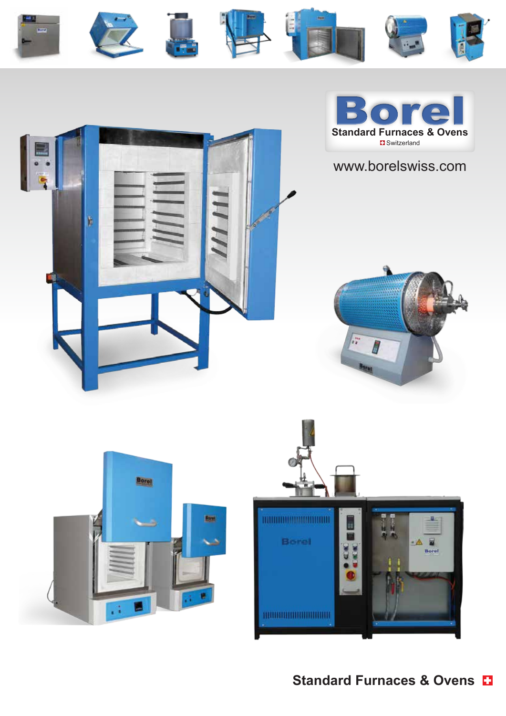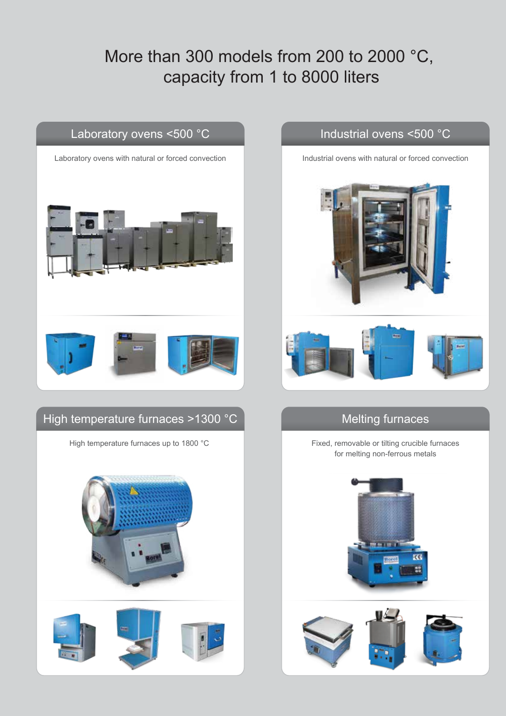# More than 300 models from 200 to 2000 °C, capacity from 1 to 8000 liters





#### Industrial ovens <500 °C





## Melting furnaces

Fixed, removable or tilting crucible furnaces for melting non-ferrous metals



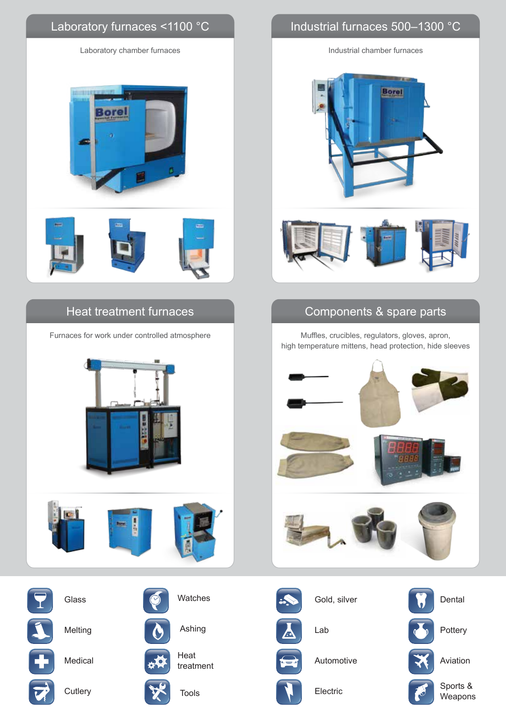

## Heat treatment furnaces

Furnaces for work under controlled atmosphere







Glass **Glass** Watches

Melting



Heat **Automotive**  $t = \frac{1}{\sqrt{2}}$  Medical  $t = \frac{1}{\sqrt{2}}$  treatment

Ashing

Tools **Electric** 

# Industrial furnaces 500–1300 °C

Industrial chamber furnaces



# Components & spare parts

Muffles, crucibles, regulators, gloves, apron, high temperature mittens, head protection, hide sleeves





Gold, silver

Lab







Aviation

Sports & Weapons